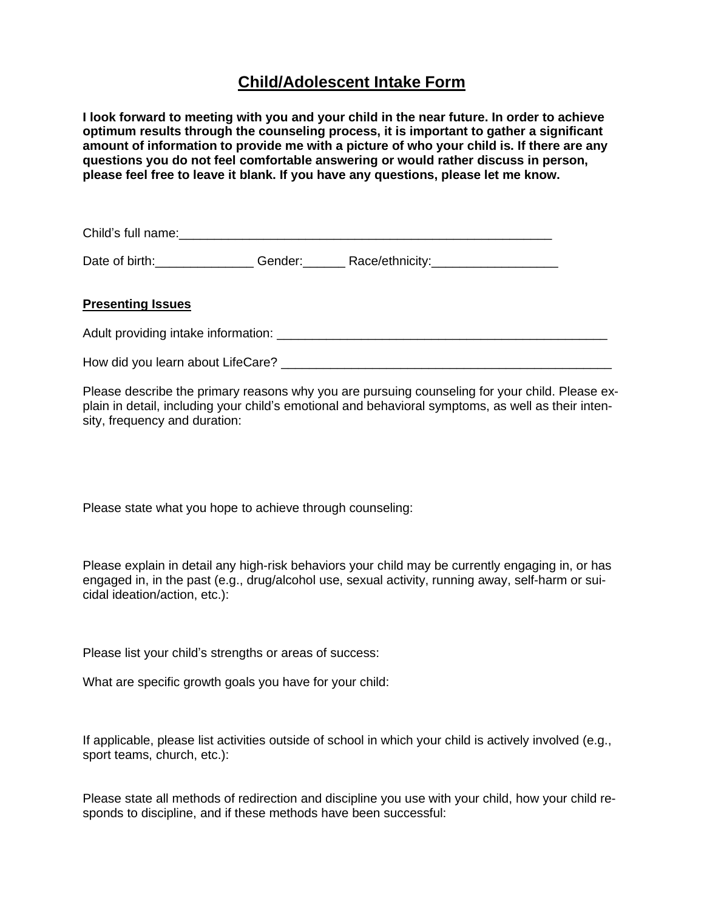# **Child/Adolescent Intake Form**

**I look forward to meeting with you and your child in the near future. In order to achieve optimum results through the counseling process, it is important to gather a significant amount of information to provide me with a picture of who your child is. If there are any questions you do not feel comfortable answering or would rather discuss in person, please feel free to leave it blank. If you have any questions, please let me know.**

Child's full name:\_\_\_\_\_\_\_\_\_\_\_\_\_\_\_\_\_\_\_\_\_\_\_\_\_\_\_\_\_\_\_\_\_\_\_\_\_\_\_\_\_\_\_\_\_\_\_\_\_\_\_\_\_

Date of birth: example of the Gender: The Race/ethnicity:

### **Presenting Issues**

Adult providing intake information: \_\_\_\_\_\_\_\_\_\_\_\_\_\_\_\_\_\_\_\_\_\_\_\_\_\_\_\_\_\_\_\_\_\_\_\_\_\_\_\_\_\_\_\_\_\_\_

How did you learn about LifeCare? \_\_\_\_\_\_\_\_\_\_\_\_\_\_\_\_\_\_\_\_\_\_\_\_\_\_\_\_\_\_\_\_\_\_\_\_\_\_\_\_\_\_\_\_\_\_\_

Please describe the primary reasons why you are pursuing counseling for your child. Please explain in detail, including your child's emotional and behavioral symptoms, as well as their intensity, frequency and duration:

Please state what you hope to achieve through counseling:

Please explain in detail any high-risk behaviors your child may be currently engaging in, or has engaged in, in the past (e.g., drug/alcohol use, sexual activity, running away, self-harm or suicidal ideation/action, etc.):

Please list your child's strengths or areas of success:

What are specific growth goals you have for your child:

If applicable, please list activities outside of school in which your child is actively involved (e.g., sport teams, church, etc.):

Please state all methods of redirection and discipline you use with your child, how your child responds to discipline, and if these methods have been successful: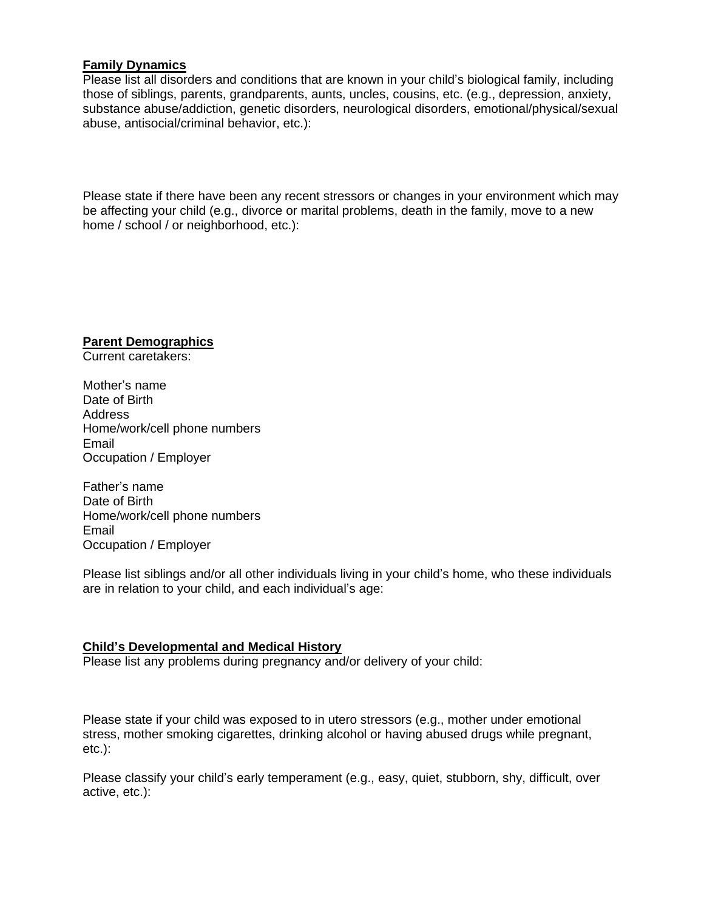### **Family Dynamics**

Please list all disorders and conditions that are known in your child's biological family, including those of siblings, parents, grandparents, aunts, uncles, cousins, etc. (e.g., depression, anxiety, substance abuse/addiction, genetic disorders, neurological disorders, emotional/physical/sexual abuse, antisocial/criminal behavior, etc.):

Please state if there have been any recent stressors or changes in your environment which may be affecting your child (e.g., divorce or marital problems, death in the family, move to a new home / school / or neighborhood, etc.):

**Parent Demographics**

Current caretakers:

Mother's name Date of Birth Address Home/work/cell phone numbers Email Occupation / Employer

Father's name Date of Birth Home/work/cell phone numbers Email Occupation / Employer

Please list siblings and/or all other individuals living in your child's home, who these individuals are in relation to your child, and each individual's age:

## **Child's Developmental and Medical History**

Please list any problems during pregnancy and/or delivery of your child:

Please state if your child was exposed to in utero stressors (e.g., mother under emotional stress, mother smoking cigarettes, drinking alcohol or having abused drugs while pregnant, etc.):

Please classify your child's early temperament (e.g., easy, quiet, stubborn, shy, difficult, over active, etc.):